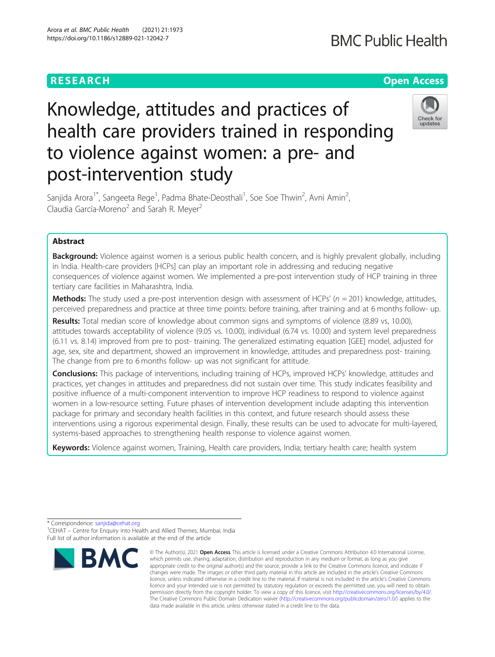## **RESEARCH CHE Open Access**

# Knowledge, attitudes and practices of health care providers trained in responding to violence against women: a pre- and post-intervention study



Sanjida Arora<sup>1\*</sup>, Sangeeta Rege<sup>1</sup>, Padma Bhate-Deosthali<sup>1</sup>, Soe Soe Thwin<sup>2</sup>, Avni Amin<sup>2</sup> , Claudia García-Moreno<sup>2</sup> and Sarah R. Meyer<sup>2</sup>

### Abstract

Background: Violence against women is a serious public health concern, and is highly prevalent globally, including in India. Health-care providers [HCPs] can play an important role in addressing and reducing negative consequences of violence against women. We implemented a pre-post intervention study of HCP training in three tertiary care facilities in Maharashtra, India.

**Methods:** The study used a pre-post intervention design with assessment of HCPs' ( $n = 201$ ) knowledge, attitudes, perceived preparedness and practice at three time points: before training, after training and at 6 months follow- up.

Results: Total median score of knowledge about common signs and symptoms of violence (8.89 vs, 10.00), attitudes towards acceptability of violence (9.05 vs. 10.00), individual (6.74 vs. 10.00) and system level preparedness (6.11 vs. 8.14) improved from pre to post- training. The generalized estimating equation [GEE] model, adjusted for age, sex, site and department, showed an improvement in knowledge, attitudes and preparedness post- training. The change from pre to 6 months follow- up was not significant for attitude.

Conclusions: This package of interventions, including training of HCPs, improved HCPs' knowledge, attitudes and practices, yet changes in attitudes and preparedness did not sustain over time. This study indicates feasibility and positive influence of a multi-component intervention to improve HCP readiness to respond to violence against women in a low-resource setting. Future phases of intervention development include adapting this intervention package for primary and secondary health facilities in this context, and future research should assess these interventions using a rigorous experimental design. Finally, these results can be used to advocate for multi-layered, systems-based approaches to strengthening health response to violence against women.

Keywords: Violence against women, Training, Health care providers, India; tertiary health care; health system

\* Correspondence: [sanjida@cehat.org](mailto:sanjida@cehat.org) <sup>1</sup>

<sup>1</sup>CEHAT – Centre for Enquiry into Health and Allied Themes, Mumbai, India Full list of author information is available at the end of the article



<sup>©</sup> The Author(s), 2021 **Open Access** This article is licensed under a Creative Commons Attribution 4.0 International License, which permits use, sharing, adaptation, distribution and reproduction in any medium or format, as long as you give appropriate credit to the original author(s) and the source, provide a link to the Creative Commons licence, and indicate if changes were made. The images or other third party material in this article are included in the article's Creative Commons licence, unless indicated otherwise in a credit line to the material. If material is not included in the article's Creative Commons licence and your intended use is not permitted by statutory regulation or exceeds the permitted use, you will need to obtain permission directly from the copyright holder. To view a copy of this licence, visit [http://creativecommons.org/licenses/by/4.0/.](http://creativecommons.org/licenses/by/4.0/) The Creative Commons Public Domain Dedication waiver [\(http://creativecommons.org/publicdomain/zero/1.0/](http://creativecommons.org/publicdomain/zero/1.0/)) applies to the data made available in this article, unless otherwise stated in a credit line to the data.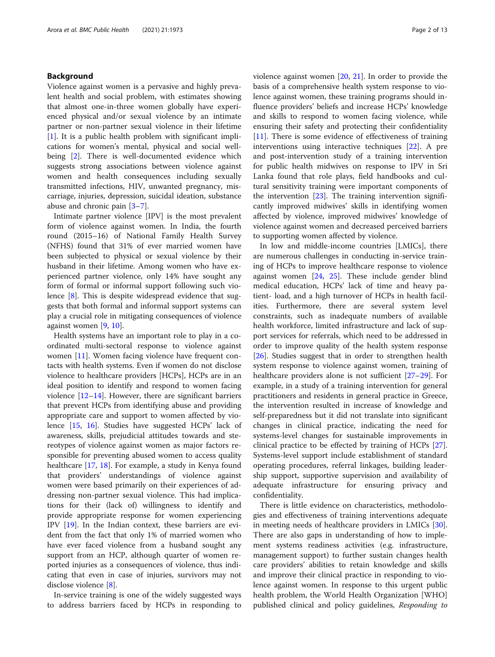#### Background

Violence against women is a pervasive and highly prevalent health and social problem, with estimates showing that almost one-in-three women globally have experienced physical and/or sexual violence by an intimate partner or non-partner sexual violence in their lifetime [[1\]](#page-11-0). It is a public health problem with significant implications for women's mental, physical and social well-being [\[2](#page-11-0)]. There is well-documented evidence which suggests strong associations between violence against women and health consequences including sexually transmitted infections, HIV, unwanted pregnancy, miscarriage, injuries, depression, suicidal ideation, substance abuse and chronic pain [\[3](#page-11-0)–[7\]](#page-11-0).

Intimate partner violence [IPV] is the most prevalent form of violence against women. In India, the fourth round (2015–16) of National Family Health Survey (NFHS) found that 31% of ever married women have been subjected to physical or sexual violence by their husband in their lifetime. Among women who have experienced partner violence, only 14% have sought any form of formal or informal support following such violence [[8\]](#page-11-0). This is despite widespread evidence that suggests that both formal and informal support systems can play a crucial role in mitigating consequences of violence against women [\[9](#page-11-0), [10\]](#page-11-0).

Health systems have an important role to play in a coordinated multi-sectoral response to violence against women [\[11\]](#page-11-0). Women facing violence have frequent contacts with health systems. Even if women do not disclose violence to healthcare providers [HCPs], HCPs are in an ideal position to identify and respond to women facing violence  $[12-14]$  $[12-14]$  $[12-14]$  $[12-14]$  $[12-14]$ . However, there are significant barriers that prevent HCPs from identifying abuse and providing appropriate care and support to women affected by violence [[15](#page-11-0), [16](#page-11-0)]. Studies have suggested HCPs' lack of awareness, skills, prejudicial attitudes towards and stereotypes of violence against women as major factors responsible for preventing abused women to access quality healthcare [\[17,](#page-11-0) [18\]](#page-12-0). For example, a study in Kenya found that providers' understandings of violence against women were based primarily on their experiences of addressing non-partner sexual violence. This had implications for their (lack of) willingness to identify and provide appropriate response for women experiencing IPV [[19\]](#page-12-0). In the Indian context, these barriers are evident from the fact that only 1% of married women who have ever faced violence from a husband sought any support from an HCP, although quarter of women reported injuries as a consequences of violence, thus indicating that even in case of injuries, survivors may not disclose violence [[8\]](#page-11-0).

In-service training is one of the widely suggested ways to address barriers faced by HCPs in responding to violence against women [\[20](#page-12-0), [21](#page-12-0)]. In order to provide the basis of a comprehensive health system response to violence against women, these training programs should influence providers' beliefs and increase HCPs' knowledge and skills to respond to women facing violence, while ensuring their safety and protecting their confidentiality [[11\]](#page-11-0). There is some evidence of effectiveness of training interventions using interactive techniques [\[22\]](#page-12-0). A pre and post-intervention study of a training intervention for public health midwives on response to IPV in Sri Lanka found that role plays, field handbooks and cultural sensitivity training were important components of the intervention [[23](#page-12-0)]. The training intervention significantly improved midwives' skills in identifying women affected by violence, improved midwives' knowledge of violence against women and decreased perceived barriers to supporting women affected by violence.

In low and middle-income countries [LMICs], there are numerous challenges in conducting in-service training of HCPs to improve healthcare response to violence against women [\[24](#page-12-0), [25](#page-12-0)]. These include gender blind medical education, HCPs' lack of time and heavy patient- load, and a high turnover of HCPs in health facilities. Furthermore, there are several system level constraints, such as inadequate numbers of available health workforce, limited infrastructure and lack of support services for referrals, which need to be addressed in order to improve quality of the health system response [[26\]](#page-12-0). Studies suggest that in order to strengthen health system response to violence against women, training of healthcare providers alone is not sufficient [[27](#page-12-0)–[29\]](#page-12-0). For example, in a study of a training intervention for general practitioners and residents in general practice in Greece, the intervention resulted in increase of knowledge and self-preparedness but it did not translate into significant changes in clinical practice, indicating the need for systems-level changes for sustainable improvements in clinical practice to be effected by training of HCPs [\[27](#page-12-0)]. Systems-level support include establishment of standard operating procedures, referral linkages, building leadership support, supportive supervision and availability of adequate infrastructure for ensuring privacy and confidentiality.

There is little evidence on characteristics, methodologies and effectiveness of training interventions adequate in meeting needs of healthcare providers in LMICs [\[30](#page-12-0)]. There are also gaps in understanding of how to implement systems readiness activities (e.g. infrastructure, management support) to further sustain changes health care providers' abilities to retain knowledge and skills and improve their clinical practice in responding to violence against women. In response to this urgent public health problem, the World Health Organization [WHO] published clinical and policy guidelines, Responding to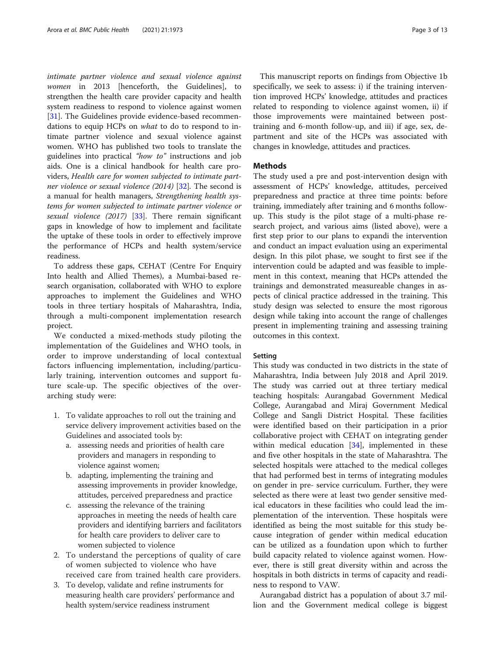intimate partner violence and sexual violence against women in 2013 [henceforth, the Guidelines], to strengthen the health care provider capacity and health system readiness to respond to violence against women [[31\]](#page-12-0). The Guidelines provide evidence-based recommendations to equip HCPs on what to do to respond to intimate partner violence and sexual violence against women. WHO has published two tools to translate the guidelines into practical "how to" instructions and job aids. One is a clinical handbook for health care providers, Health care for women subjected to intimate partner violence or sexual violence (2014) [\[32](#page-12-0)]. The second is a manual for health managers, Strengthening health systems for women subjected to intimate partner violence or sexual violence (2017) [[33\]](#page-12-0). There remain significant gaps in knowledge of how to implement and facilitate the uptake of these tools in order to effectively improve the performance of HCPs and health system/service readiness.

To address these gaps, CEHAT (Centre For Enquiry Into health and Allied Themes), a Mumbai-based research organisation, collaborated with WHO to explore approaches to implement the Guidelines and WHO tools in three tertiary hospitals of Maharashtra, India, through a multi-component implementation research project.

We conducted a mixed-methods study piloting the implementation of the Guidelines and WHO tools, in order to improve understanding of local contextual factors influencing implementation, including/particularly training, intervention outcomes and support future scale-up. The specific objectives of the overarching study were:

- 1. To validate approaches to roll out the training and service delivery improvement activities based on the Guidelines and associated tools by:
	- a. assessing needs and priorities of health care providers and managers in responding to violence against women;
	- b. adapting, implementing the training and assessing improvements in provider knowledge, attitudes, perceived preparedness and practice
	- c. assessing the relevance of the training approaches in meeting the needs of health care providers and identifying barriers and facilitators for health care providers to deliver care to women subjected to violence
- 2. To understand the perceptions of quality of care of women subjected to violence who have received care from trained health care providers.
- 3. To develop, validate and refine instruments for measuring health care providers' performance and health system/service readiness instrument

This manuscript reports on findings from Objective 1b specifically, we seek to assess: i) if the training intervention improved HCPs' knowledge, attitudes and practices related to responding to violence against women, ii) if those improvements were maintained between posttraining and 6-month follow-up, and iii) if age, sex, department and site of the HCPs was associated with changes in knowledge, attitudes and practices.

#### **Methods**

The study used a pre and post-intervention design with assessment of HCPs' knowledge, attitudes, perceived preparedness and practice at three time points: before training, immediately after training and 6 months followup. This study is the pilot stage of a multi-phase research project, and various aims (listed above), were a first step prior to our plans to expandi the intervention and conduct an impact evaluation using an experimental design. In this pilot phase, we sought to first see if the intervention could be adapted and was feasible to implement in this context, meaning that HCPs attended the trainings and demonstrated measureable changes in aspects of clinical practice addressed in the training. This study design was selected to ensure the most rigorous design while taking into account the range of challenges present in implementing training and assessing training outcomes in this context.

#### Setting

This study was conducted in two districts in the state of Maharashtra, India between July 2018 and April 2019. The study was carried out at three tertiary medical teaching hospitals: Aurangabad Government Medical College, Aurangabad and Miraj Government Medical College and Sangli District Hospital. These facilities were identified based on their participation in a prior collaborative project with CEHAT on integrating gender within medical education [\[34\]](#page-12-0), implemented in these and five other hospitals in the state of Maharashtra. The selected hospitals were attached to the medical colleges that had performed best in terms of integrating modules on gender in pre- service curriculum. Further, they were selected as there were at least two gender sensitive medical educators in these facilities who could lead the implementation of the intervention. These hospitals were identified as being the most suitable for this study because integration of gender within medical education can be utilized as a foundation upon which to further build capacity related to violence against women. However, there is still great diversity within and across the hospitals in both districts in terms of capacity and readiness to respond to VAW.

Aurangabad district has a population of about 3.7 million and the Government medical college is biggest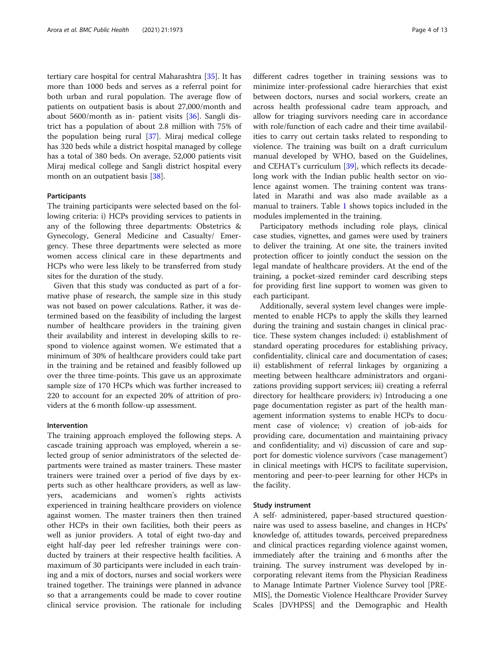tertiary care hospital for central Maharashtra [[35\]](#page-12-0). It has more than 1000 beds and serves as a referral point for both urban and rural population. The average flow of patients on outpatient basis is about 27,000/month and about 5600/month as in- patient visits [\[36\]](#page-12-0). Sangli district has a population of about 2.8 million with 75% of the population being rural [[37](#page-12-0)]. Miraj medical college has 320 beds while a district hospital managed by college has a total of 380 beds. On average, 52,000 patients visit Miraj medical college and Sangli district hospital every month on an outpatient basis [[38](#page-12-0)].

#### Participants

The training participants were selected based on the following criteria: i) HCPs providing services to patients in any of the following three departments: Obstetrics & Gynecology, General Medicine and Casualty/ Emergency. These three departments were selected as more women access clinical care in these departments and HCPs who were less likely to be transferred from study sites for the duration of the study.

Given that this study was conducted as part of a formative phase of research, the sample size in this study was not based on power calculations. Rather, it was determined based on the feasibility of including the largest number of healthcare providers in the training given their availability and interest in developing skills to respond to violence against women. We estimated that a minimum of 30% of healthcare providers could take part in the training and be retained and feasibly followed up over the three time-points. This gave us an approximate sample size of 170 HCPs which was further increased to 220 to account for an expected 20% of attrition of providers at the 6 month follow-up assessment.

#### Intervention

The training approach employed the following steps. A cascade training approach was employed, wherein a selected group of senior administrators of the selected departments were trained as master trainers. These master trainers were trained over a period of five days by experts such as other healthcare providers, as well as lawyers, academicians and women's rights activists experienced in training healthcare providers on violence against women. The master trainers then then trained other HCPs in their own facilities, both their peers as well as junior providers. A total of eight two-day and eight half-day peer led refresher trainings were conducted by trainers at their respective health facilities. A maximum of 30 participants were included in each training and a mix of doctors, nurses and social workers were trained together. The trainings were planned in advance so that a arrangements could be made to cover routine clinical service provision. The rationale for including different cadres together in training sessions was to minimize inter-professional cadre hierarchies that exist between doctors, nurses and social workers, create an across health professional cadre team approach, and allow for triaging survivors needing care in accordance with role/function of each cadre and their time availabilities to carry out certain tasks related to responding to violence. The training was built on a draft curriculum manual developed by WHO, based on the Guidelines, and CEHAT's curriculum [\[39](#page-12-0)], which reflects its decadelong work with the Indian public health sector on violence against women. The training content was translated in Marathi and was also made available as a manual to trainers. Table [1](#page-4-0) shows topics included in the modules implemented in the training.

Participatory methods including role plays, clinical case studies, vignettes, and games were used by trainers to deliver the training. At one site, the trainers invited protection officer to jointly conduct the session on the legal mandate of healthcare providers. At the end of the training, a pocket-sized reminder card describing steps for providing first line support to women was given to each participant.

Additionally, several system level changes were implemented to enable HCPs to apply the skills they learned during the training and sustain changes in clinical practice. These system changes included: i) establishment of standard operating procedures for establishing privacy, confidentiality, clinical care and documentation of cases; ii) establishment of referral linkages by organizing a meeting between healthcare administrators and organizations providing support services; iii) creating a referral directory for healthcare providers; iv) Introducing a one page documentation register as part of the health management information systems to enable HCPs to document case of violence; v) creation of job-aids for providing care, documentation and maintaining privacy and confidentiality; and vi) discussion of care and support for domestic violence survivors ('case management') in clinical meetings with HCPS to facilitate supervision, mentoring and peer-to-peer learning for other HCPs in the facility.

#### Study instrument

A self- administered, paper-based structured questionnaire was used to assess baseline, and changes in HCPs' knowledge of, attitudes towards, perceived preparedness and clinical practices regarding violence against women, immediately after the training and 6 months after the training. The survey instrument was developed by incorporating relevant items from the Physician Readiness to Manage Intimate Partner Violence Survey tool [PRE-MIS], the Domestic Violence Healthcare Provider Survey Scales [DVHPSS] and the Demographic and Health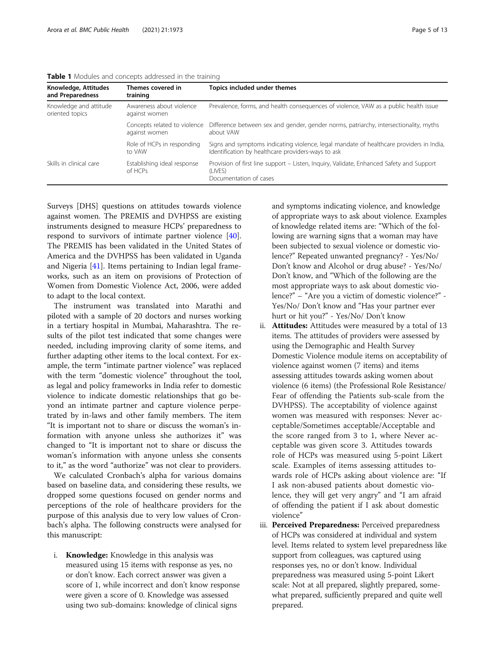<span id="page-4-0"></span>

| Table 1 Modules and concepts addressed in the training |  |
|--------------------------------------------------------|--|
|--------------------------------------------------------|--|

| Knowledge, Attitudes<br>and Preparedness  | Themes covered in<br>training                 | Topics included under themes                                                                                                                  |
|-------------------------------------------|-----------------------------------------------|-----------------------------------------------------------------------------------------------------------------------------------------------|
| Knowledge and attitude<br>oriented topics | Awareness about violence<br>against women     | Prevalence, forms, and health consequences of violence, VAW as a public health issue                                                          |
|                                           | Concepts related to violence<br>against women | Difference between sex and gender, gender norms, patriarchy, intersectionality, myths<br>about VAW                                            |
|                                           | Role of HCPs in responding<br>to VAW          | Signs and symptoms indicating violence, legal mandate of healthcare providers in India,<br>Identification by healthcare providers-ways to ask |
| Skills in clinical care                   | Establishing ideal response<br>of HCPs        | Provision of first line support – Listen, Inquiry, Validate, Enhanced Safety and Support<br>(LIVES)<br>Documentation of cases                 |

Surveys [DHS] questions on attitudes towards violence against women. The PREMIS and DVHPSS are existing instruments designed to measure HCPs' preparedness to respond to survivors of intimate partner violence [\[40](#page-12-0)]. The PREMIS has been validated in the United States of America and the DVHPSS has been validated in Uganda and Nigeria [\[41\]](#page-12-0). Items pertaining to Indian legal frameworks, such as an item on provisions of Protection of Women from Domestic Violence Act, 2006, were added to adapt to the local context.

The instrument was translated into Marathi and piloted with a sample of 20 doctors and nurses working in a tertiary hospital in Mumbai, Maharashtra. The results of the pilot test indicated that some changes were needed, including improving clarity of some items, and further adapting other items to the local context. For example, the term "intimate partner violence" was replaced with the term "domestic violence" throughout the tool, as legal and policy frameworks in India refer to domestic violence to indicate domestic relationships that go beyond an intimate partner and capture violence perpetrated by in-laws and other family members. The item "It is important not to share or discuss the woman's information with anyone unless she authorizes it" was changed to "It is important not to share or discuss the woman's information with anyone unless she consents to it," as the word "authorize" was not clear to providers.

We calculated Cronbach's alpha for various domains based on baseline data, and considering these results, we dropped some questions focused on gender norms and perceptions of the role of healthcare providers for the purpose of this analysis due to very low values of Cronbach's alpha. The following constructs were analysed for this manuscript:

i. Knowledge: Knowledge in this analysis was measured using 15 items with response as yes, no or don't know. Each correct answer was given a score of 1, while incorrect and don't know response were given a score of 0. Knowledge was assessed using two sub-domains: knowledge of clinical signs

and symptoms indicating violence, and knowledge of appropriate ways to ask about violence. Examples of knowledge related items are: "Which of the following are warning signs that a woman may have been subjected to sexual violence or domestic violence?" Repeated unwanted pregnancy? - Yes/No/ Don't know and Alcohol or drug abuse? - Yes/No/ Don't know, and "Which of the following are the most appropriate ways to ask about domestic violence?"–"Are you a victim of domestic violence?" - Yes/No/ Don't know and "Has your partner ever hurt or hit you?" - Yes/No/ Don't know

- ii. Attitudes: Attitudes were measured by a total of 13 items. The attitudes of providers were assessed by using the Demographic and Health Survey Domestic Violence module items on acceptability of violence against women (7 items) and items assessing attitudes towards asking women about violence (6 items) (the Professional Role Resistance/ Fear of offending the Patients sub-scale from the DVHPSS). The acceptability of violence against women was measured with responses: Never acceptable/Sometimes acceptable/Acceptable and the score ranged from 3 to 1, where Never acceptable was given score 3. Attitudes towards role of HCPs was measured using 5-point Likert scale. Examples of items assessing attitudes towards role of HCPs asking about violence are: "If I ask non-abused patients about domestic violence, they will get very angry" and "I am afraid of offending the patient if I ask about domestic violence"
- iii. Perceived Preparedness: Perceived preparedness of HCPs was considered at individual and system level. Items related to system level preparedness like support from colleagues, was captured using responses yes, no or don't know. Individual preparedness was measured using 5-point Likert scale: Not at all prepared, slightly prepared, somewhat prepared, sufficiently prepared and quite well prepared.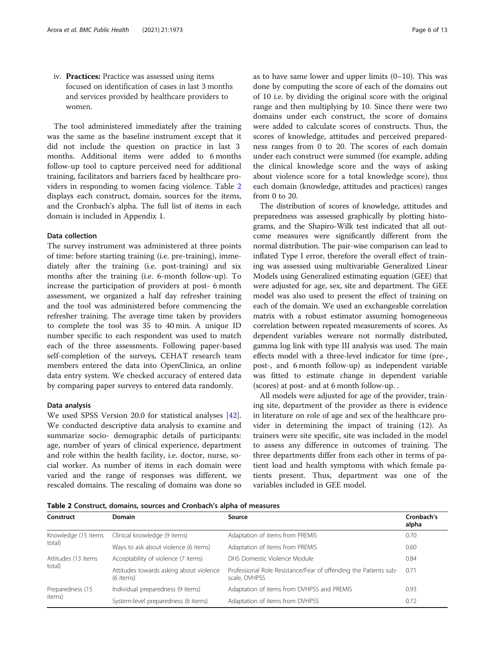iv. Practices: Practice was assessed using items focused on identification of cases in last 3 months and services provided by healthcare providers to women.

The tool administered immediately after the training was the same as the baseline instrument except that it did not include the question on practice in last 3 months. Additional items were added to 6 months follow-up tool to capture perceived need for additional training, facilitators and barriers faced by healthcare providers in responding to women facing violence. Table 2 displays each construct, domain, sources for the items, and the Cronbach's alpha. The full list of items in each domain is included in Appendix 1.

#### Data collection

The survey instrument was administered at three points of time: before starting training (i.e. pre-training), immediately after the training (i.e. post-training) and six months after the training (i.e. 6-month follow-up). To increase the participation of providers at post- 6 month assessment, we organized a half day refresher training and the tool was administered before commencing the refresher training. The average time taken by providers to complete the tool was 35 to 40 min. A unique ID number specific to each respondent was used to match each of the three assessments. Following paper-based self-completion of the surveys, CEHAT research team members entered the data into OpenClinica, an online data entry system. We checked accuracy of entered data by comparing paper surveys to entered data randomly.

#### Data analysis

We used SPSS Version 20.0 for statistical analyses [\[42](#page-12-0)]. We conducted descriptive data analysis to examine and summarize socio- demographic details of participants: age, number of years of clinical experience, department and role within the health facility, i.e. doctor, nurse, social worker. As number of items in each domain were varied and the range of responses was different, we rescaled domains. The rescaling of domains was done so as to have same lower and upper limits (0–10). This was done by computing the score of each of the domains out of 10 i.e. by dividing the original score with the original range and then multiplying by 10. Since there were two domains under each construct, the score of domains were added to calculate scores of constructs. Thus, the scores of knowledge, attitudes and perceived preparedness ranges from 0 to 20. The scores of each domain under each construct were summed (for example, adding the clinical knowledge score and the ways of asking about violence score for a total knowledge score), thus each domain (knowledge, attitudes and practices) ranges from 0 to 20.

The distribution of scores of knowledge, attitudes and preparedness was assessed graphically by plotting histograms, and the Shapiro-Wilk test indicated that all outcome measures were significantly different from the normal distribution. The pair-wise comparison can lead to inflated Type I error, therefore the overall effect of training was assessed using multivariable Generalized Linear Models using Generalized estimating equation (GEE) that were adjusted for age, sex, site and department. The GEE model was also used to present the effect of training on each of the domain. We used an exchangeable correlation matrix with a robust estimator assuming homogeneous correlation between repeated measurements of scores. As dependent variables wereare not normally distributed, gamma log link with type III analysis was used. The main effects model with a three-level indicator for time (pre-, post-, and 6 month follow-up) as independent variable was fitted to estimate change in dependent variable (scores) at post- and at 6 month follow-up. .

All models were adjusted for age of the provider, training site, department of the provider as there is evidence in literature on role of age and sex of the healthcare provider in determining the impact of training (12). As trainers were site specific, site was included in the model to assess any difference in outcomes of training. The three departments differ from each other in terms of patient load and health symptoms with which female patients present. Thus, department was one of the variables included in GEE model.

Table 2 Construct, domains, sources and Cronbach's alpha of measures

| Construct           | <b>Domain</b>                                        | Source                                                                            | Cronbach's<br>alpha |
|---------------------|------------------------------------------------------|-----------------------------------------------------------------------------------|---------------------|
| Knowledge (15 items | Clinical knowledge (9 items)                         | Adaptation of items from PREMIS                                                   | 0.70                |
| total)              | Ways to ask about violence (6 items)                 | Adaptation of items from PREMIS                                                   | 0.60                |
| Attitudes (13 items | Acceptability of violence (7 items)                  | DHS Domestic Violence Module                                                      | 0.84                |
| total)              | Attitudes towards asking about violence<br>(6 items) | Professional Role Resistance/Fear of offending the Patients sub-<br>scale, DVHPSS | 0.71                |
| Preparedness (15    | Individual preparedness (9 items)                    | Adaptation of items from DVHPSS and PREMIS                                        | 0.93                |
| items)              | System-level preparedness (6 items)                  | Adaptation of items from DVHPSS                                                   | 0.72                |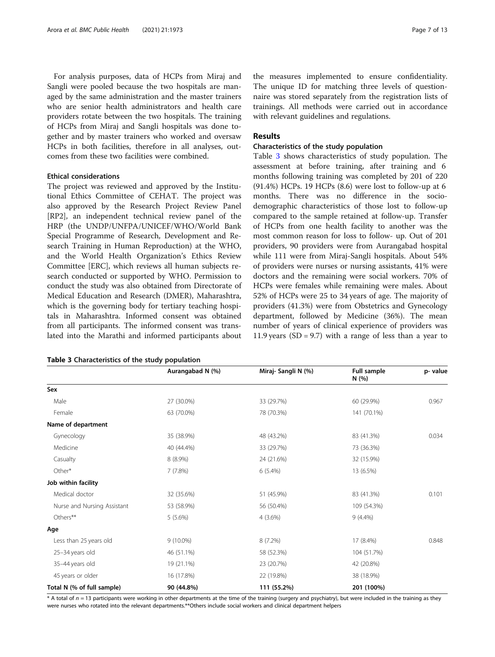For analysis purposes, data of HCPs from Miraj and Sangli were pooled because the two hospitals are managed by the same administration and the master trainers who are senior health administrators and health care providers rotate between the two hospitals. The training of HCPs from Miraj and Sangli hospitals was done together and by master trainers who worked and oversaw HCPs in both facilities, therefore in all analyses, outcomes from these two facilities were combined.

#### Ethical considerations

The project was reviewed and approved by the Institutional Ethics Committee of CEHAT. The project was also approved by the Research Project Review Panel [RP2], an independent technical review panel of the HRP (the UNDP/UNFPA/UNICEF/WHO/World Bank Special Programme of Research, Development and Research Training in Human Reproduction) at the WHO, and the World Health Organization's Ethics Review Committee [ERC], which reviews all human subjects research conducted or supported by WHO. Permission to conduct the study was also obtained from Directorate of Medical Education and Research (DMER), Maharashtra, which is the governing body for tertiary teaching hospitals in Maharashtra. Informed consent was obtained from all participants. The informed consent was translated into the Marathi and informed participants about

the measures implemented to ensure confidentiality. The unique ID for matching three levels of questionnaire was stored separately from the registration lists of trainings. All methods were carried out in accordance with relevant guidelines and regulations.

#### Results

#### Characteristics of the study population

Table 3 shows characteristics of study population. The assessment at before training, after training and 6 months following training was completed by 201 of 220 (91.4%) HCPs. 19 HCPs (8.6) were lost to follow-up at 6 months. There was no difference in the sociodemographic characteristics of those lost to follow-up compared to the sample retained at follow-up. Transfer of HCPs from one health facility to another was the most common reason for loss to follow- up. Out of 201 providers, 90 providers were from Aurangabad hospital while 111 were from Miraj-Sangli hospitals. About 54% of providers were nurses or nursing assistants, 41% were doctors and the remaining were social workers. 70% of HCPs were females while remaining were males. About 52% of HCPs were 25 to 34 years of age. The majority of providers (41.3%) were from Obstetrics and Gynecology department, followed by Medicine (36%). The mean number of years of clinical experience of providers was 11.9 years  $(SD = 9.7)$  with a range of less than a year to

|                             | Aurangabad N (%) | Miraj- Sangli N (%) | Full sample<br>N(%) | p-value |
|-----------------------------|------------------|---------------------|---------------------|---------|
| Sex                         |                  |                     |                     |         |
| Male                        | 27 (30.0%)       | 33 (29.7%)          | 60 (29.9%)          | 0.967   |
| Female                      | 63 (70.0%)       | 78 (70.3%)          | 141 (70.1%)         |         |
| Name of department          |                  |                     |                     |         |
| Gynecology                  | 35 (38.9%)       | 48 (43.2%)          | 83 (41.3%)          | 0.034   |
| Medicine                    | 40 (44.4%)       | 33 (29.7%)          | 73 (36.3%)          |         |
| Casualty                    | $8(8.9\%)$       | 24 (21.6%)          | 32 (15.9%)          |         |
| Other*                      | 7(7.8%)          | $6(5.4\%)$          | 13 (6.5%)           |         |
| Job within facility         |                  |                     |                     |         |
| Medical doctor              | 32 (35.6%)       | 51 (45.9%)          | 83 (41.3%)          | 0.101   |
| Nurse and Nursing Assistant | 53 (58.9%)       | 56 (50.4%)          | 109 (54.3%)         |         |
| Others**                    | $5(5.6\%)$       | $4(3.6\%)$          | $9(4.4\%)$          |         |
| Age                         |                  |                     |                     |         |
| Less than 25 years old      | $9(10.0\%)$      | $8(7.2\%)$          | 17 (8.4%)           | 0.848   |
| 25-34 years old             | 46 (51.1%)       | 58 (52.3%)          | 104 (51.7%)         |         |
| 35-44 years old             | 19 (21.1%)       | 23 (20.7%)          | 42 (20.8%)          |         |
| 45 years or older           | 16 (17.8%)       | 22 (19.8%)          | 38 (18.9%)          |         |
| Total N (% of full sample)  | 90 (44.8%)       | 111 (55.2%)         | 201 (100%)          |         |

\* A total of n = 13 participants were working in other departments at the time of the training (surgery and psychiatry), but were included in the training as they were nurses who rotated into the relevant departments.\*\*Others include social workers and clinical department helpers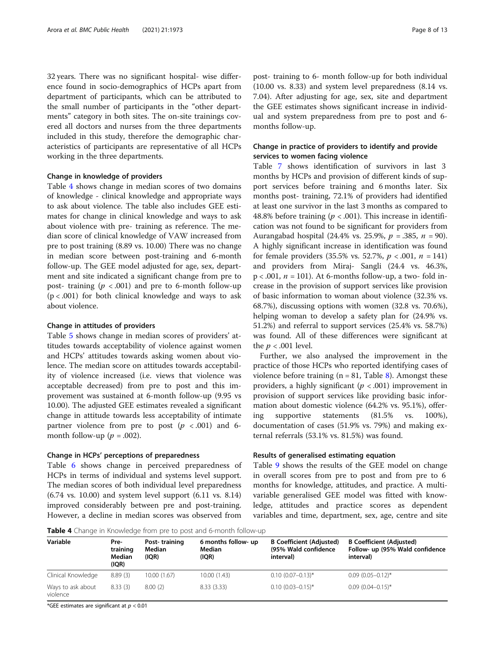32 years. There was no significant hospital- wise difference found in socio-demographics of HCPs apart from department of participants, which can be attributed to the small number of participants in the "other departments" category in both sites. The on-site trainings covered all doctors and nurses from the three departments included in this study, therefore the demographic characteristics of participants are representative of all HCPs working in the three departments.

#### Change in knowledge of providers

Table 4 shows change in median scores of two domains of knowledge - clinical knowledge and appropriate ways to ask about violence. The table also includes GEE estimates for change in clinical knowledge and ways to ask about violence with pre- training as reference. The median score of clinical knowledge of VAW increased from pre to post training (8.89 vs. 10.00) There was no change in median score between post-training and 6-month follow-up. The GEE model adjusted for age, sex, department and site indicated a significant change from pre to post- training ( $p < .001$ ) and pre to 6-month follow-up  $(p < .001)$  for both clinical knowledge and ways to ask about violence.

#### Change in attitudes of providers

Table [5](#page-8-0) shows change in median scores of providers' attitudes towards acceptability of violence against women and HCPs' attitudes towards asking women about violence. The median score on attitudes towards acceptability of violence increased (i.e. views that violence was acceptable decreased) from pre to post and this improvement was sustained at 6-month follow-up (9.95 vs 10.00). The adjusted GEE estimates revealed a significant change in attitude towards less acceptability of intimate partner violence from pre to post  $(p \lt 0.001)$  and 6month follow-up ( $p = .002$ ).

#### Change in HCPs' perceptions of preparedness

Table [6](#page-8-0) shows change in perceived preparedness of HCPs in terms of individual and systems level support. The median scores of both individual level preparedness (6.74 vs. 10.00) and system level support (6.11 vs. 8.14) improved considerably between pre and post-training. However, a decline in median scores was observed from

post- training to 6- month follow-up for both individual (10.00 vs. 8.33) and system level preparedness (8.14 vs. 7.04). After adjusting for age, sex, site and department the GEE estimates shows significant increase in individual and system preparedness from pre to post and 6 months follow-up.

#### Change in practice of providers to identify and provide services to women facing violence

Table [7](#page-9-0) shows identification of survivors in last 3 months by HCPs and provision of different kinds of support services before training and 6 months later. Six months post- training, 72.1% of providers had identified at least one survivor in the last 3 months as compared to 48.8% before training ( $p < .001$ ). This increase in identification was not found to be significant for providers from Aurangabad hospital (24.4% vs. 25.9%,  $p = 0.385$ ,  $n = 90$ ). A highly significant increase in identification was found for female providers  $(35.5\% \text{ vs. } 52.7\%, p < .001, n = 141)$ and providers from Miraj- Sangli (24.4 vs. 46.3%,  $p < .001$ ,  $n = 101$ ). At 6-months follow-up, a two-fold increase in the provision of support services like provision of basic information to woman about violence (32.3% vs. 68.7%), discussing options with women (32.8 vs. 70.6%), helping woman to develop a safety plan for (24.9% vs. 51.2%) and referral to support services (25.4% vs. 58.7%) was found. All of these differences were significant at the  $p < .001$  level.

Further, we also analysed the improvement in the practice of those HCPs who reported identifying cases of violence before training  $(n = 81, Table 8)$  $(n = 81, Table 8)$ . Amongst these providers, a highly significant ( $p < .001$ ) improvement in provision of support services like providing basic information about domestic violence (64.2% vs. 95.1%), offering supportive statements (81.5% vs. 100%), documentation of cases (51.9% vs. 79%) and making external referrals (53.1% vs. 81.5%) was found.

#### Results of generalised estimating equation

Table [9](#page-10-0) shows the results of the GEE model on change in overall scores from pre to post and from pre to 6 months for knowledge, attitudes, and practice. A multivariable generalised GEE model was fitted with knowledge, attitudes and practice scores as dependent variables and time, department, sex, age, centre and site

Table 4 Change in Knowledge from pre to post and 6-month follow-up

|                               | <b>TWATE</b> . Change in implemented to his to post and o month follow ap- |                                  |                                        |                                                                      |                                                                                 |  |  |
|-------------------------------|----------------------------------------------------------------------------|----------------------------------|----------------------------------------|----------------------------------------------------------------------|---------------------------------------------------------------------------------|--|--|
| Variable                      | Pre-<br>training<br>Median<br>(IQR)                                        | Post-training<br>Median<br>(IQR) | 6 months follow- up<br>Median<br>(IQR) | <b>B Coefficient (Adjusted)</b><br>(95% Wald confidence<br>interval) | <b>B Coefficient (Adjusted)</b><br>Follow- up (95% Wald confidence<br>interval) |  |  |
| Clinical Knowledge            | 8.89(3)                                                                    | 10.00 (1.67)                     | 10.00 (1.43)                           | $0.10(0.07 - 0.13)^*$                                                | $0.09$ $(0.05 - 0.12)^*$                                                        |  |  |
| Ways to ask about<br>violence | 8.33(3)                                                                    | 8.00(2)                          | 8.33(3.33)                             | $0.10(0.03 - 0.15)^*$                                                | $0.09(0.04 - 0.15)^*$                                                           |  |  |

\*GEE estimates are significant at  $p < 0.01$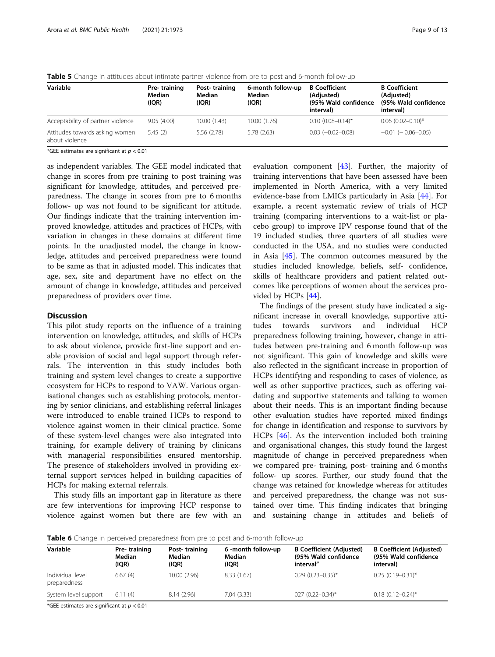| Variable                                         | Pre-training<br>Median<br>(IQR) | Post-training<br>Median<br>(IQR) | 6-month follow-up<br>Median<br>(IQR) | <b>B</b> Coefficient<br>(Adjusted)<br>(95% Wald confidence<br>interval) | <b>B</b> Coefficient<br>(Adjusted)<br>(95% Wald confidence<br>interval) |
|--------------------------------------------------|---------------------------------|----------------------------------|--------------------------------------|-------------------------------------------------------------------------|-------------------------------------------------------------------------|
| Acceptability of partner violence                | 9.05(4.00)                      | 10.00(1.43)                      | 10.00(1.76)                          | $0.10(0.08 - 0.14)^*$                                                   | $0.06(0.02 - 0.10)^*$                                                   |
| Attitudes towards asking women<br>about violence | 5.45(2)                         | 5.56 (2.78)                      | 5.78 (2.63)                          | $0.03$ ( $-0.02 - 0.08$ )                                               | $-0.01$ ( $-0.06 - 0.05$ )                                              |

<span id="page-8-0"></span>Table 5 Change in attitudes about intimate partner violence from pre to post and 6-month follow-up

\*GEE estimates are significant at  $p < 0.01$ 

as independent variables. The GEE model indicated that change in scores from pre training to post training was significant for knowledge, attitudes, and perceived preparedness. The change in scores from pre to 6 months follow- up was not found to be significant for attitude. Our findings indicate that the training intervention improved knowledge, attitudes and practices of HCPs, with variation in changes in these domains at different time points. In the unadjusted model, the change in knowledge, attitudes and perceived preparedness were found to be same as that in adjusted model. This indicates that age, sex, site and department have no effect on the amount of change in knowledge, attitudes and perceived preparedness of providers over time.

#### **Discussion**

This pilot study reports on the influence of a training intervention on knowledge, attitudes, and skills of HCPs to ask about violence, provide first-line support and enable provision of social and legal support through referrals. The intervention in this study includes both training and system level changes to create a supportive ecosystem for HCPs to respond to VAW. Various organisational changes such as establishing protocols, mentoring by senior clinicians, and establishing referral linkages were introduced to enable trained HCPs to respond to violence against women in their clinical practice. Some of these system-level changes were also integrated into training, for example delivery of training by clinicans with managerial responsibilities ensured mentorship. The presence of stakeholders involved in providing external support services helped in building capacities of HCPs for making external referrals.

This study fills an important gap in literature as there are few interventions for improving HCP response to violence against women but there are few with an

evaluation component [\[43](#page-12-0)]. Further, the majority of training interventions that have been assessed have been implemented in North America, with a very limited evidence-base from LMICs particularly in Asia [[44\]](#page-12-0). For example, a recent systematic review of trials of HCP training (comparing interventions to a wait-list or placebo group) to improve IPV response found that of the 19 included studies, three quarters of all studies were conducted in the USA, and no studies were conducted in Asia [[45](#page-12-0)]. The common outcomes measured by the studies included knowledge, beliefs, self- confidence, skills of healthcare providers and patient related outcomes like perceptions of women about the services provided by HCPs [[44](#page-12-0)].

The findings of the present study have indicated a significant increase in overall knowledge, supportive attitudes towards survivors and individual HCP preparedness following training, however, change in attitudes between pre-training and 6 month follow-up was not significant. This gain of knowledge and skills were also reflected in the significant increase in proportion of HCPs identifying and responding to cases of violence, as well as other supportive practices, such as offering vaidating and supportive statements and talking to women about their needs. This is an important finding because other evaluation studies have reported mixed findings for change in identification and response to survivors by HCPs [\[46\]](#page-12-0). As the intervention included both training and organisational changes, this study found the largest magnitude of change in perceived preparedness when we compared pre- training, post- training and 6 months follow- up scores. Further, our study found that the change was retained for knowledge whereas for attitudes and perceived preparedness, the change was not sustained over time. This finding indicates that bringing and sustaining change in attitudes and beliefs of

**Table 6** Change in perceived preparedness from pre to post and 6-month follow-up

| Variable                         | Pre-training<br>Median<br>(IOR) | Post-training<br>Median<br>(IOR) | 6 -month follow-up<br>Median<br>(IQR) | <b>B Coefficient (Adjusted)</b><br>(95% Wald confidence<br>interval" | <b>B</b> Coefficient (Adjusted)<br>(95% Wald confidence<br>interval) |
|----------------------------------|---------------------------------|----------------------------------|---------------------------------------|----------------------------------------------------------------------|----------------------------------------------------------------------|
| Individual level<br>preparedness | 6.67(4)                         | 10.00(2.96)                      | 8.33(1.67)                            | $0.29(0.23 - 0.35)^*$                                                | $0.25(0.19 - 0.31)^{*}$                                              |
| System level support             | 6.11(4)                         | 8.14(2.96)                       | 7.04(3.33)                            | $027 (0.22 - 0.34)^*$                                                | $0.18(0.12 - 0.24)^*$                                                |

\*GEE estimates are significant at  $p < 0.01$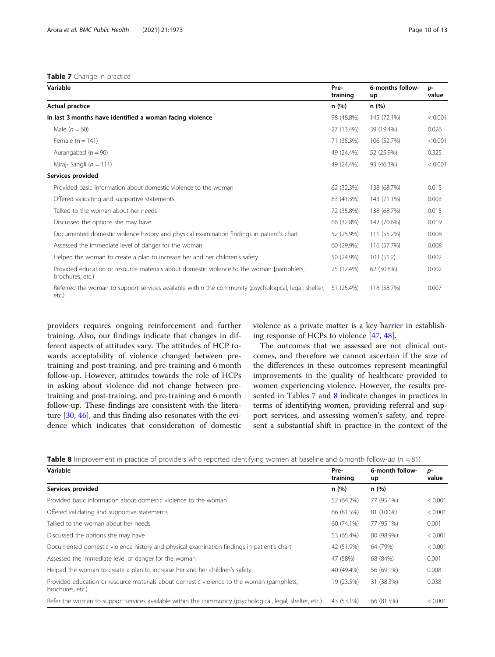#### <span id="page-9-0"></span>Table 7 Change in practice

| Variable                                                                                                                  | Pre-<br>training | 6-months follow-<br>up | D-<br>value |
|---------------------------------------------------------------------------------------------------------------------------|------------------|------------------------|-------------|
| <b>Actual practice</b>                                                                                                    | n(%)             | n(%)                   |             |
| In last 3 months have identified a woman facing violence                                                                  | 98 (48.8%)       | 145 (72.1%)            | < 0.001     |
| Male $(n = 60)$                                                                                                           | 27 (13.4%)       | 39 (19.4%)             | 0.026       |
| Female $(n = 141)$                                                                                                        | 71 (35.3%)       | 106 (52.7%)            | < 0.001     |
| Aurangabad ( $n = 90$ )                                                                                                   | 49 (24.4%)       | 52 (25.9%)             | 0.325       |
| Miraj-Sangli ( $n = 111$ )                                                                                                | 49 (24.4%)       | 93 (46.3%)             | < 0.001     |
| Services provided                                                                                                         |                  |                        |             |
| Provided basic information about domestic violence to the woman                                                           | 62 (32.3%)       | 138 (68.7%)            | 0.015       |
| Offered validating and supportive statements                                                                              | 83 (41.3%)       | 143 (71.1%)            | 0.003       |
| Talked to the woman about her needs                                                                                       | 72 (35.8%)       | 138 (68.7%)            | 0.015       |
| Discussed the options she may have                                                                                        | 66 (32.8%)       | 142 (70.6%)            | 0.019       |
| Documented domestic violence history and physical examination findings in patient's chart                                 | 52 (25.9%)       | 111 (55.2%)            | 0.008       |
| Assessed the immediate level of danger for the woman                                                                      | 60 (29.9%)       | 116 (57.7%)            | 0.008       |
| Helped the woman to create a plan to increase her and her children's safety                                               | 50 (24.9%)       | 103(51.2)              | 0.002       |
| Provided education or resource materials about domestic violence to the woman (pamphlets,<br>brochures, etc.)             | 25 (12.4%)       | 62 (30.8%)             | 0.002       |
| Referred the woman to support services available within the community (psychological, legal, shelter, 51 (25.4%)<br>etc.) |                  | 118 (58.7%)            | 0.007       |

providers requires ongoing reinforcement and further training. Also, our findings indicate that changes in different aspects of attitudes vary. The attitudes of HCP towards acceptability of violence changed between pretraining and post-training, and pre-training and 6 month follow-up. However, attitudes towards the role of HCPs in asking about violence did not change between pretraining and post-training, and pre-training and 6 month follow-up. These findings are consistent with the literature [\[30](#page-12-0), [46\]](#page-12-0), and this finding also resonates with the evidence which indicates that consideration of domestic

violence as a private matter is a key barrier in establishing response of HCPs to violence [\[47,](#page-12-0) [48\]](#page-12-0).

The outcomes that we assessed are not clinical outcomes, and therefore we cannot ascertain if the size of the differences in these outcomes represent meaningful improvements in the quality of healthcare provided to women experiencing violence. However, the results presented in Tables 7 and 8 indicate changes in practices in terms of identifying women, providing referral and support services, and assessing women's safety, and represent a substantial shift in practice in the context of the

|  |  |  |  |  | <b>Table 8</b> Improvement in practice of providers who reported identifying women at baseline and 6 month follow-up ( $n = 81$ ) |  |  |  |  |  |
|--|--|--|--|--|-----------------------------------------------------------------------------------------------------------------------------------|--|--|--|--|--|
|--|--|--|--|--|-----------------------------------------------------------------------------------------------------------------------------------|--|--|--|--|--|

| <b>TWAIS O</b> improvement in plactice of providers who reported identifying women at basemic and omfortunionow ap (i) = 01) |                  |                       |             |
|------------------------------------------------------------------------------------------------------------------------------|------------------|-----------------------|-------------|
| Variable                                                                                                                     | Pre-<br>training | 6-month follow-<br>up | D-<br>value |
| Services provided                                                                                                            | n(%)             | n(%)                  |             |
| Provided basic information about domestic violence to the woman                                                              | 52 (64.2%)       | 77 (95.1%)            | < 0.001     |
| Offered validating and supportive statements                                                                                 | 66 (81.5%)       | 81 (100%)             | < 0.001     |
| Talked to the woman about her needs                                                                                          | 60 (74.1%)       | 77 (95.1%)            | 0.001       |
| Discussed the options she may have                                                                                           | 53 (65.4%)       | 80 (98.9%)            | < 0.001     |
| Documented domestic violence history and physical examination findings in patient's chart                                    | 42 (51.9%)       | 64 (79%)              | < 0.001     |
| Assessed the immediate level of danger for the woman                                                                         | 47 (58%)         | 68 (84%)              | 0.001       |
| Helped the woman to create a plan to increase her and her children's safety                                                  | 40 (49.4%)       | 56 (69.1%)            | 0.008       |
| Provided education or resource materials about domestic violence to the woman (pamphlets,<br>brochures, etc.)                | 19 (23.5%)       | 31 (38.3%)            | 0.038       |
| Refer the woman to support services available within the community (psychological, legal, shelter, etc.)                     | 43 (53.1%)       | 66 (81.5%)            | < 0.001     |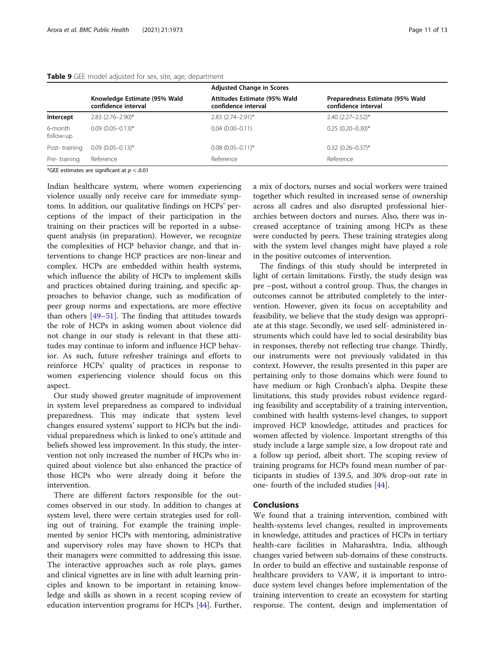#### <span id="page-10-0"></span>Table 9 GEE model adjusted for sex, site, age, department

|                                                     | <b>Adjusted Change in Scores</b>                    |                                                        |
|-----------------------------------------------------|-----------------------------------------------------|--------------------------------------------------------|
| Knowledge Estimate (95% Wald<br>confidence interval | Attitudes Estimate (95% Wald<br>confidence interval | Preparedness Estimate (95% Wald<br>confidence interval |
| $2.83$ $(2.76 - 2.90)^*$                            | $2.83$ $(2.74 - 2.91)^*$                            | $2.40(2.27 - 2.52)^*$                                  |
| $0.09(0.05 - 0.13)^*$                               | $0.04(0.00 - 0.11)$                                 | $0.25(0.20-0.30)$ *                                    |
| $0.09(0.05 - 0.13)^*$                               | $0.08$ $(0.05 - 0.11)^*$                            | $0.32$ $(0.26 - 0.37)$ *                               |
| Reference                                           | Reference                                           | Reference                                              |
|                                                     |                                                     |                                                        |

\*GEE estimates are significant at  $p < .0.01$ 

Indian healthcare system, where women experiencing violence usually only receive care for immediate symptoms. In addition, our qualitative findings on HCPs' perceptions of the impact of their participation in the training on their practices will be reported in a subsequent analysis (in preparation). However, we recognize the complexities of HCP behavior change, and that interventions to change HCP practices are non-linear and complex. HCPs are embedded within health systems, which influence the ability of HCPs to implement skills and practices obtained during training, and specific approaches to behavior change, such as modification of peer group norms and expectations, are more effective than others [[49](#page-12-0)–[51](#page-12-0)]. The finding that attitudes towards the role of HCPs in asking women about violence did not change in our study is relevant in that these attitudes may continue to inform and influence HCP behavior. As such, future refresher trainings and efforts to reinforce HCPs' quality of practices in response to women experiencing violence should focus on this aspect.

Our study showed greater magnitude of improvement in system level preparedness as compared to individual preparedness. This may indicate that system level changes ensured systems' support to HCPs but the individual preparedness which is linked to one's attitude and beliefs showed less improvement. In this study, the intervention not only increased the number of HCPs who inquired about violence but also enhanced the practice of those HCPs who were already doing it before the intervention.

There are different factors responsible for the outcomes observed in our study. In addition to changes at system level, there were certain strategies used for rolling out of training. For example the training implemented by senior HCPs with mentoring, administrative and supervisory roles may have shown to HCPs that their managers were committed to addressing this issue. The interactive approaches such as role plays, games and clinical vignettes are in line with adult learning principles and known to be important in retaining knowledge and skills as shown in a recent scoping review of education intervention programs for HCPs [\[44](#page-12-0)]. Further, a mix of doctors, nurses and social workers were trained together which resulted in increased sense of ownership across all cadres and also disrupted professional hierarchies between doctors and nurses. Also, there was increased acceptance of training among HCPs as these were conducted by peers. These training strategies along with the system level changes might have played a role in the positive outcomes of intervention.

The findings of this study should be interpreted in light of certain limitations. Firstly, the study design was pre –post, without a control group. Thus, the changes in outcomes cannot be attributed completely to the intervention. However, given its focus on acceptability and feasibility, we believe that the study design was appropriate at this stage. Secondly, we used self- administered instruments which could have led to social desirability bias in responses, thereby not reflecting true change. Thirdly, our instruments were not previously validated in this context. However, the results presented in this paper are pertaining only to those domains which were found to have medium or high Cronbach's alpha. Despite these limitations, this study provides robust evidence regarding feasibility and acceptability of a training intervention, combined with health systems-level changes, to support improved HCP knowledge, attitudes and practices for women affected by violence. Important strengths of this study include a large sample size, a low dropout rate and a follow up period, albeit short. The scoping review of training programs for HCPs found mean number of participants in studies of 139.5, and 30% drop-out rate in one- fourth of the included studies [[44](#page-12-0)].

#### **Conclusions**

We found that a training intervention, combined with health-systems level changes, resulted in improvements in knowledge, attitudes and practices of HCPs in tertiary health-care facilities in Maharashtra, India, although changes varied between sub-domains of these constructs. In order to build an effective and sustainable response of healthcare providers to VAW, it is important to introduce system level changes before implementation of the training intervention to create an ecosystem for starting response. The content, design and implementation of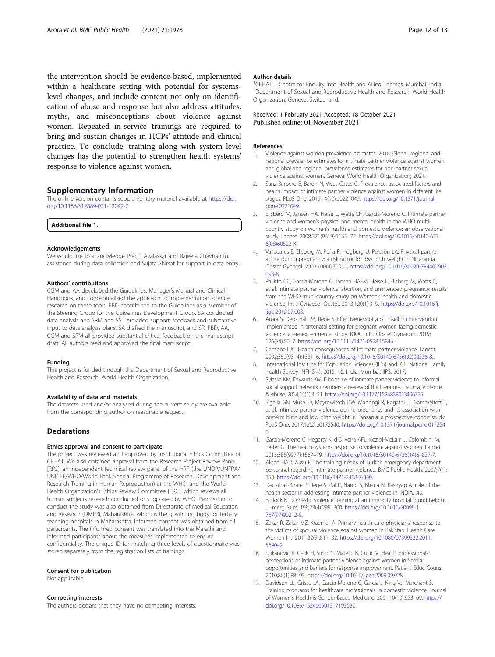<span id="page-11-0"></span>the intervention should be evidence-based, implemented within a healthcare setting with potential for systemslevel changes, and include content not only on identification of abuse and response but also address attitudes, myths, and misconceptions about violence against women. Repeated in-service trainings are required to bring and sustain changes in HCPs' attitude and clinical practice. To conclude, training along with system level changes has the potential to strengthen health systems' response to violence against women.

#### Supplementary Information

The online version contains supplementary material available at [https://doi.](https://doi.org/10.1186/s12889-021-12042-7) [org/10.1186/s12889-021-12042-7.](https://doi.org/10.1186/s12889-021-12042-7)

Additional file 1.

#### Acknowledgements

We would like to acknowledge Prachi Avalaskar and Rajeeta Chavhan for assistance during data collection and Sujata Shirsat for support in data entry.

#### Authors' contributions

CGM and AA developed the Guidelines, Manager's Manual and Clinical Handbook, and conceptualized the approach to implementation science research on these tools. PBD contributed to the Guidelines as a Member of the Steering Group for the Guidelines Development Group. SA conducted data analysis and SRM and SST provided support, feedback and substantive input to data analysis plans. SA drafted the manuscript, and SR, PBD, AA, CGM and SRM all provided substantial critical feedback on the manuscript draft. All authors read and approved the final manuscript.

#### Funding

This project is funded through the Department of Sexual and Reproductive Health and Research, World Health Organization.

#### Availability of data and materials

The datasets used and/or analysed during the current study are available from the corresponding author on reasonable request.

#### **Declarations**

#### Ethics approval and consent to participate

The project was reviewed and approved by Institutional Ethics Committee of CEHAT. We also obtained approval from the Research Project Review Panel [RP2], an independent technical review panel of the HRP (the UNDP/UNFPA/ UNICEF/WHO/World Bank Special Programme of Research, Development and Research Training in Human Reproduction) at the WHO, and the World Health Organization's Ethics Review Committee [ERC], which reviews all human subjects research conducted or supported by WHO. Permission to conduct the study was also obtained from Directorate of Medical Education and Research (DMER), Maharashtra, which is the governing body for tertiary teaching hospitals in Maharashtra. Informed consent was obtained from all participants. The informed consent was translated into the Marathi and informed participants about the measures implemented to ensure confidentiality. The unique ID for matching three levels of questionnaire was stored separately from the registration lists of trainings.

#### Consent for publication

Not applicable.

#### Competing interests

The authors declare that they have no competing interests.

#### Author details

<sup>1</sup> CEHAT – Centre for Enquiry into Health and Allied Themes, Mumbai, India<sup>2</sup><br><sup>2</sup> Department of Sexual and Reproductive Health and Research World Healt <sup>2</sup> Department of Sexual and Reproductive Health and Research, World Health Organization, Geneva, Switzerland.

#### Received: 1 February 2021 Accepted: 18 October 2021 Published online: 01 November 2021

#### References

- 1. Violence against women prevalence estimates, 2018: Global, regional and national prevalence estimates for intimate partner violence against women and global and regional prevalence estimates for non-partner sexual violence against women. Geneva: World Health Organization; 2021.
- 2. Sanz-Barbero B, Barón N, Vives-Cases C. Prevalence, associated factors and health impact of intimate partner violence against women in different life stages. PLoS One. 2019;14(10):e0221049. [https://doi.org/10.1371/journal.](https://doi.org/10.1371/journal.pone.0221049) [pone.0221049.](https://doi.org/10.1371/journal.pone.0221049)
- 3. Ellsberg M, Jansen HA, Heise L, Watts CH, Garcia-Moreno C. Intimate partner violence and women's physical and mental health in the WHO multicountry study on women's health and domestic violence: an observational study. Lancet. 2008;371(9619):1165–72. [https://doi.org/10.1016/S0140-673](https://doi.org/10.1016/S0140-6736(08)60522-X) [6\(08\)60522-X.](https://doi.org/10.1016/S0140-6736(08)60522-X)
- 4. Valladares E, Ellsberg M, Peña R, Högberg U, Persson LA. Physical partner abuse during pregnancy: a risk factor for low birth weight in Nicaragua. Obstet Gynecol. 2002;100(4):700–5. [https://doi.org/10.1016/s0029-7844\(02\)02](https://doi.org/10.1016/s0029-7844(02)02093-8) [093-8](https://doi.org/10.1016/s0029-7844(02)02093-8).
- 5. Pallitto CC, García-Moreno C, Jansen HAFM, Heise L, Ellsberg M, Watts C, et al. Intimate partner violence, abortion, and unintended pregnancy: results from the WHO multi-country study on Women's health and domestic violence. Int J Gynaecol Obstet. 2013;120(1):3–9. [https://doi.org/10.1016/j.](https://doi.org/10.1016/j.ijgo.2012.07.003) [ijgo.2012.07.003.](https://doi.org/10.1016/j.ijgo.2012.07.003)
- Arora S, Deosthali PB, Rege S. Effectiveness of a counselling intervention implemented in antenatal setting for pregnant women facing domestic violence: a pre-experimental study. BJOG Int J Obstet Gynaecol. 2019; 126(S4):50–7. <https://doi.org/10.1111/1471-0528.15846>.
- 7. Campbell JC. Health consequences of intimate partner violence. Lancet. 2002;359(9314):1331–6. [https://doi.org/10.1016/S0140-6736\(02\)08336-8](https://doi.org/10.1016/S0140-6736(02)08336-8).
- 8. International Institute for Population Sciences (IIPS) and ICF. National Family Health Survey (NFHS-4), 2015–16: India. Mumbai: IIPS; 2017.
- 9. Sylaska KM, Edwards KM. Disclosure of intimate partner violence to informal social support network members: a review of the literature. Trauma, Violence, & Abuse. 2014;15(1):3–21. <https://doi.org/10.1177/1524838013496335>.
- 10. Sigalla GN, Mushi D, Meyrowitsch DW, Manongi R, Rogathi JJ, Gammeltoft T, et al. Intimate partner violence during pregnancy and its association with preterm birth and low birth weight in Tanzania: a prospective cohort study. PLoS One. 2017;12(2):e0172540. [https://doi.org/10.1371/journal.pone.017254](https://doi.org/10.1371/journal.pone.0172540) [0](https://doi.org/10.1371/journal.pone.0172540).
- 11. García-Moreno C, Hegarty K, d'Oliveira AFL, Koziol-McLain J, Colombini M, Feder G. The health-systems response to violence against women. Lancet. 2015;385(9977):1567–79. [https://doi.org/10.1016/S0140-6736\(14\)61837-7.](https://doi.org/10.1016/S0140-6736(14)61837-7)
- 12. Aksan HAD, Aksu F. The training needs of Turkish emergency department personnel regarding intimate partner violence. BMC Public Health. 2007;7(1): 350. [https://doi.org/10.1186/1471-2458-7-350.](https://doi.org/10.1186/1471-2458-7-350)
- 13. Deosthali-Bhate P, Rege S, Pal P, Nandi S, Bhatla N, Kashyap A. role of the health sector in addressing intimate partner violence in INDIA. :40.
- 14. Bullock K. Domestic violence training at an inner-city hospital found helpful. J Emerg Nurs. 199;23(4):299–300. [https://doi.org/10.1016/S0099-1](https://doi.org/10.1016/S0099-1767(97)90212-9) [767\(97\)90212-9](https://doi.org/10.1016/S0099-1767(97)90212-9).
- 15. Zakar R, Zakar MZ, Kraemer A. Primary health care physicians' response to the victims of spousal violence against women in Pakistan. Health Care Women Int. 2011;32(9):811–32. [https://doi.org/10.1080/07399332.2011.](https://doi.org/10.1080/07399332.2011.569042) [569042](https://doi.org/10.1080/07399332.2011.569042).
- 16. Djikanovic B, Celik H, Simic S, Matejic B, Cucic V. Health professionals' perceptions of intimate partner violence against women in Serbia: opportunities and barriers for response improvement. Patient Educ Couns. 2010;80(1):88–93. [https://doi.org/10.1016/j.pec.2009.09.028.](https://doi.org/10.1016/j.pec.2009.09.028)
- 17. Davidson LL, Grisso JA, Garcia-Moreno C, Garcia J, King VJ, Marchant S. Training programs for healthcare professionals in domestic violence. Journal of Women's Health & Gender-Based Medicine. 2001;10(10):953–69. [https://](https://doi.org/10.1089/152460901317193530) [doi.org/10.1089/152460901317193530.](https://doi.org/10.1089/152460901317193530)